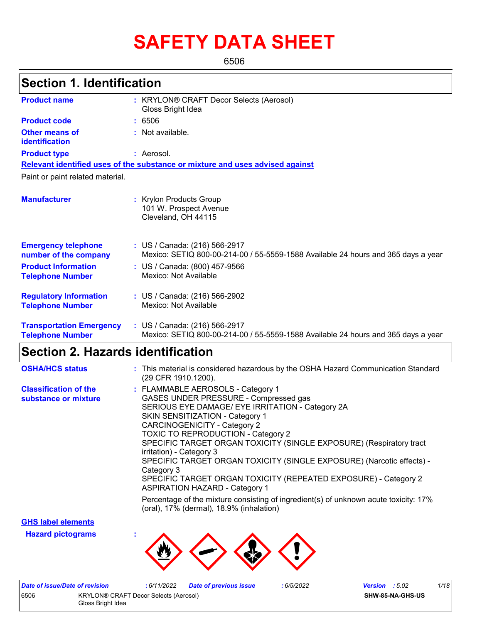# **SAFETY DATA SHEET**

6506

# **Section 1. Identification**

| <b>Product name</b>                                        | : KRYLON® CRAFT Decor Selects (Aerosol)<br>Gloss Bright Idea                                                       |
|------------------------------------------------------------|--------------------------------------------------------------------------------------------------------------------|
| <b>Product code</b>                                        | : 6506                                                                                                             |
| <b>Other means of</b><br>identification                    | : Not available.                                                                                                   |
| <b>Product type</b>                                        | : Aerosol.                                                                                                         |
|                                                            | Relevant identified uses of the substance or mixture and uses advised against                                      |
| Paint or paint related material.                           |                                                                                                                    |
| <b>Manufacturer</b>                                        | : Krylon Products Group<br>101 W. Prospect Avenue<br>Cleveland, OH 44115                                           |
| <b>Emergency telephone</b><br>number of the company        | : US / Canada: (216) 566-2917<br>Mexico: SETIQ 800-00-214-00 / 55-5559-1588 Available 24 hours and 365 days a year |
| <b>Product Information</b><br><b>Telephone Number</b>      | : US / Canada: (800) 457-9566<br>Mexico: Not Available                                                             |
| <b>Regulatory Information</b><br><b>Telephone Number</b>   | : US / Canada: (216) 566-2902<br>Mexico: Not Available                                                             |
| <b>Transportation Emergency</b><br><b>Telephone Number</b> | : US / Canada: (216) 566-2917<br>Mexico: SETIQ 800-00-214-00 / 55-5559-1588 Available 24 hours and 365 days a year |

### **Section 2. Hazards identification**

| <b>OSHA/HCS status</b>                               | : This material is considered hazardous by the OSHA Hazard Communication Standard<br>(29 CFR 1910.1200).                                                                                                                                                                                                                                                                                                                                                                                                                                                           |
|------------------------------------------------------|--------------------------------------------------------------------------------------------------------------------------------------------------------------------------------------------------------------------------------------------------------------------------------------------------------------------------------------------------------------------------------------------------------------------------------------------------------------------------------------------------------------------------------------------------------------------|
| <b>Classification of the</b><br>substance or mixture | : FLAMMABLE AEROSOLS - Category 1<br>GASES UNDER PRESSURE - Compressed gas<br>SERIOUS EYE DAMAGE/ EYE IRRITATION - Category 2A<br><b>SKIN SENSITIZATION - Category 1</b><br><b>CARCINOGENICITY - Category 2</b><br><b>TOXIC TO REPRODUCTION - Category 2</b><br>SPECIFIC TARGET ORGAN TOXICITY (SINGLE EXPOSURE) (Respiratory tract<br>irritation) - Category 3<br>SPECIFIC TARGET ORGAN TOXICITY (SINGLE EXPOSURE) (Narcotic effects) -<br>Category 3<br>SPECIFIC TARGET ORGAN TOXICITY (REPEATED EXPOSURE) - Category 2<br><b>ASPIRATION HAZARD - Category 1</b> |
|                                                      | Percentage of the mixture consisting of ingredient(s) of unknown acute toxicity: 17%<br>(oral), 17% (dermal), 18.9% (inhalation)                                                                                                                                                                                                                                                                                                                                                                                                                                   |

**GHS label elements**

**Hazard pictograms :**



|                   | Date of issue/Date of revision | : 6/11/2022                           | Date of previous issue | : 6/5/2022 | <b>Version</b> : $5.02$ | 1/18 |
|-------------------|--------------------------------|---------------------------------------|------------------------|------------|-------------------------|------|
| 6506              |                                | KRYLON® CRAFT Decor Selects (Aerosol) |                        |            | SHW-85-NA-GHS-US        |      |
| Gloss Bright Idea |                                |                                       |                        |            |                         |      |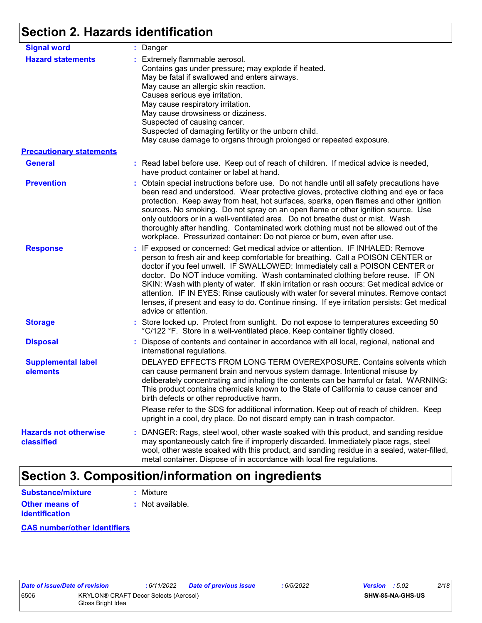# **Section 2. Hazards identification**

| <b>Signal word</b>                         | : Danger                                                                                                                                                                                                                                                                                                                                                                                                                                                                                                                                                                                                                                           |
|--------------------------------------------|----------------------------------------------------------------------------------------------------------------------------------------------------------------------------------------------------------------------------------------------------------------------------------------------------------------------------------------------------------------------------------------------------------------------------------------------------------------------------------------------------------------------------------------------------------------------------------------------------------------------------------------------------|
| <b>Hazard statements</b>                   | : Extremely flammable aerosol.<br>Contains gas under pressure; may explode if heated.<br>May be fatal if swallowed and enters airways.<br>May cause an allergic skin reaction.<br>Causes serious eye irritation.<br>May cause respiratory irritation.<br>May cause drowsiness or dizziness.<br>Suspected of causing cancer.<br>Suspected of damaging fertility or the unborn child.<br>May cause damage to organs through prolonged or repeated exposure.                                                                                                                                                                                          |
| <b>Precautionary statements</b>            |                                                                                                                                                                                                                                                                                                                                                                                                                                                                                                                                                                                                                                                    |
| <b>General</b>                             | : Read label before use. Keep out of reach of children. If medical advice is needed,<br>have product container or label at hand.                                                                                                                                                                                                                                                                                                                                                                                                                                                                                                                   |
| <b>Prevention</b>                          | : Obtain special instructions before use. Do not handle until all safety precautions have<br>been read and understood. Wear protective gloves, protective clothing and eye or face<br>protection. Keep away from heat, hot surfaces, sparks, open flames and other ignition<br>sources. No smoking. Do not spray on an open flame or other ignition source. Use<br>only outdoors or in a well-ventilated area. Do not breathe dust or mist. Wash<br>thoroughly after handling. Contaminated work clothing must not be allowed out of the<br>workplace. Pressurized container: Do not pierce or burn, even after use.                               |
| <b>Response</b>                            | : IF exposed or concerned: Get medical advice or attention. IF INHALED: Remove<br>person to fresh air and keep comfortable for breathing. Call a POISON CENTER or<br>doctor if you feel unwell. IF SWALLOWED: Immediately call a POISON CENTER or<br>doctor. Do NOT induce vomiting. Wash contaminated clothing before reuse. IF ON<br>SKIN: Wash with plenty of water. If skin irritation or rash occurs: Get medical advice or<br>attention. IF IN EYES: Rinse cautiously with water for several minutes. Remove contact<br>lenses, if present and easy to do. Continue rinsing. If eye irritation persists: Get medical<br>advice or attention. |
| <b>Storage</b>                             | : Store locked up. Protect from sunlight. Do not expose to temperatures exceeding 50<br>°C/122 °F. Store in a well-ventilated place. Keep container tightly closed.                                                                                                                                                                                                                                                                                                                                                                                                                                                                                |
| <b>Disposal</b>                            | : Dispose of contents and container in accordance with all local, regional, national and<br>international regulations.                                                                                                                                                                                                                                                                                                                                                                                                                                                                                                                             |
| <b>Supplemental label</b><br>elements      | DELAYED EFFECTS FROM LONG TERM OVEREXPOSURE. Contains solvents which<br>can cause permanent brain and nervous system damage. Intentional misuse by<br>deliberately concentrating and inhaling the contents can be harmful or fatal. WARNING:<br>This product contains chemicals known to the State of California to cause cancer and<br>birth defects or other reproductive harm.                                                                                                                                                                                                                                                                  |
|                                            | Please refer to the SDS for additional information. Keep out of reach of children. Keep<br>upright in a cool, dry place. Do not discard empty can in trash compactor.                                                                                                                                                                                                                                                                                                                                                                                                                                                                              |
| <b>Hazards not otherwise</b><br>classified | : DANGER: Rags, steel wool, other waste soaked with this product, and sanding residue<br>may spontaneously catch fire if improperly discarded. Immediately place rags, steel<br>wool, other waste soaked with this product, and sanding residue in a sealed, water-filled,<br>metal container. Dispose of in accordance with local fire regulations.                                                                                                                                                                                                                                                                                               |

# **Section 3. Composition/information on ingredients**

| Substance/mixture     | : Mixture        |
|-----------------------|------------------|
| <b>Other means of</b> | : Not available. |
| <b>identification</b> |                  |

#### **CAS number/other identifiers**

| <i>ate of Issue/Date of</i> |   |
|-----------------------------|---|
| 506                         | Κ |
|                             | G |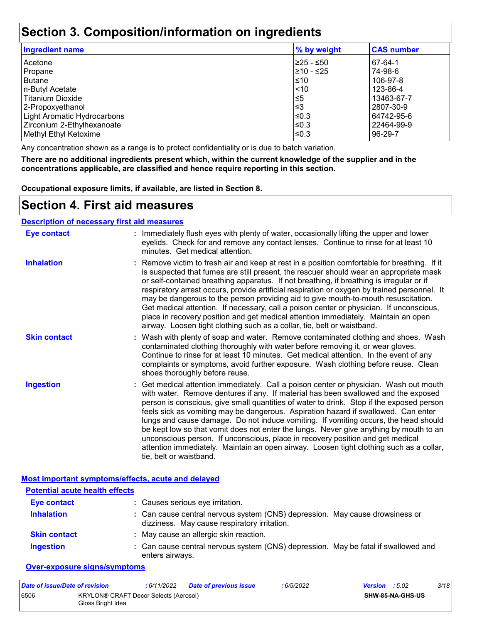## **Section 3. Composition/information on ingredients**

| <b>Ingredient name</b>             | % by weight | <b>CAS number</b> |
|------------------------------------|-------------|-------------------|
| Acetone                            | 225 - ≤50   | 67-64-1           |
| Propane                            | 210 - ≤25   | 74-98-6           |
| <b>Butane</b>                      | l≤10        | 106-97-8          |
| n-Butyl Acetate                    | $ $ < 10    | 123-86-4          |
| Titanium Dioxide                   | $\leq 5$    | 13463-67-7        |
| 2-Propoxyethanol                   | l≤3         | 2807-30-9         |
| <b>Light Aromatic Hydrocarbons</b> | ≤0.3        | 64742-95-6        |
| Zirconium 2-Ethylhexanoate         | l≤0.3       | 22464-99-9        |
| Methyl Ethyl Ketoxime              | l≤0.3       | $96 - 29 - 7$     |
|                                    |             |                   |

Any concentration shown as a range is to protect confidentiality or is due to batch variation.

**There are no additional ingredients present which, within the current knowledge of the supplier and in the concentrations applicable, are classified and hence require reporting in this section.**

**Occupational exposure limits, if available, are listed in Section 8.**

### **Section 4. First aid measures**

#### **Description of necessary first aid measures**

| <b>Eye contact</b>  | : Immediately flush eyes with plenty of water, occasionally lifting the upper and lower<br>eyelids. Check for and remove any contact lenses. Continue to rinse for at least 10<br>minutes. Get medical attention.                                                                                                                                                                                                                                                                                                                                                                                                                                                                                                                                       |
|---------------------|---------------------------------------------------------------------------------------------------------------------------------------------------------------------------------------------------------------------------------------------------------------------------------------------------------------------------------------------------------------------------------------------------------------------------------------------------------------------------------------------------------------------------------------------------------------------------------------------------------------------------------------------------------------------------------------------------------------------------------------------------------|
| <b>Inhalation</b>   | : Remove victim to fresh air and keep at rest in a position comfortable for breathing. If it<br>is suspected that fumes are still present, the rescuer should wear an appropriate mask<br>or self-contained breathing apparatus. If not breathing, if breathing is irregular or if<br>respiratory arrest occurs, provide artificial respiration or oxygen by trained personnel. It<br>may be dangerous to the person providing aid to give mouth-to-mouth resuscitation.<br>Get medical attention. If necessary, call a poison center or physician. If unconscious,<br>place in recovery position and get medical attention immediately. Maintain an open<br>airway. Loosen tight clothing such as a collar, tie, belt or waistband.                    |
| <b>Skin contact</b> | : Wash with plenty of soap and water. Remove contaminated clothing and shoes. Wash<br>contaminated clothing thoroughly with water before removing it, or wear gloves.<br>Continue to rinse for at least 10 minutes. Get medical attention. In the event of any<br>complaints or symptoms, avoid further exposure. Wash clothing before reuse. Clean<br>shoes thoroughly before reuse.                                                                                                                                                                                                                                                                                                                                                                   |
| <b>Ingestion</b>    | : Get medical attention immediately. Call a poison center or physician. Wash out mouth<br>with water. Remove dentures if any. If material has been swallowed and the exposed<br>person is conscious, give small quantities of water to drink. Stop if the exposed person<br>feels sick as vomiting may be dangerous. Aspiration hazard if swallowed. Can enter<br>lungs and cause damage. Do not induce vomiting. If vomiting occurs, the head should<br>be kept low so that vomit does not enter the lungs. Never give anything by mouth to an<br>unconscious person. If unconscious, place in recovery position and get medical<br>attention immediately. Maintain an open airway. Loosen tight clothing such as a collar,<br>tie, belt or waistband. |

**Most important symptoms/effects, acute and delayed**

| <b>Potential acute health effects</b> |                                                                                                                              |
|---------------------------------------|------------------------------------------------------------------------------------------------------------------------------|
| <b>Eye contact</b>                    | : Causes serious eye irritation.                                                                                             |
| <b>Inhalation</b>                     | : Can cause central nervous system (CNS) depression. May cause drowsiness or<br>dizziness. May cause respiratory irritation. |
| <b>Skin contact</b>                   | : May cause an allergic skin reaction.                                                                                       |
| <b>Ingestion</b>                      | : Can cause central nervous system (CNS) depression. May be fatal if swallowed and<br>enters airways.                        |

#### **Over-exposure signs/symptoms**

| Date of issue/Date of revision |                                                            | : 6/11/2022 | <b>Date of previous issue</b> | : 6/5/2022 | <b>Version</b> : $5.02$ |                         | 3/18 |
|--------------------------------|------------------------------------------------------------|-------------|-------------------------------|------------|-------------------------|-------------------------|------|
| 6506                           | KRYLON® CRAFT Decor Selects (Aerosol)<br>Gloss Bright Idea |             |                               |            |                         | <b>SHW-85-NA-GHS-US</b> |      |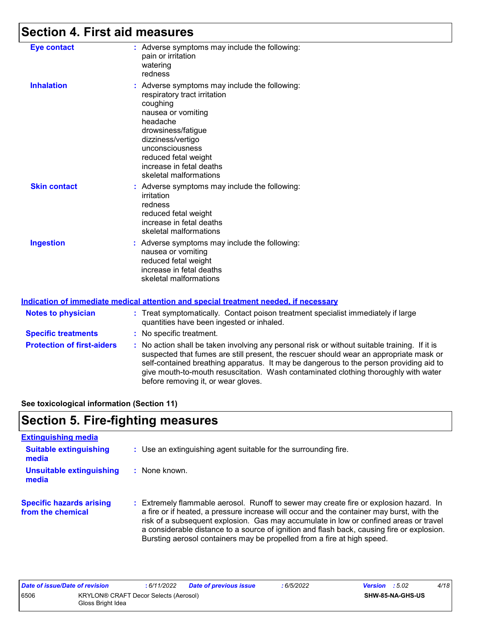# **Section 4. First aid measures**

| : Adverse symptoms may include the following:<br><b>Eye contact</b><br>pain or irritation<br>watering<br>redness<br><b>Inhalation</b><br>: Adverse symptoms may include the following:<br>respiratory tract irritation<br>coughing<br>nausea or vomiting<br>headache<br>drowsiness/fatigue<br>dizziness/vertigo<br>unconsciousness<br>reduced fetal weight<br>increase in fetal deaths<br>skeletal malformations<br><b>Skin contact</b><br>: Adverse symptoms may include the following:<br>irritation<br>redness<br>reduced fetal weight<br>increase in fetal deaths<br>skeletal malformations<br><b>Ingestion</b><br>: Adverse symptoms may include the following:<br>nausea or vomiting<br>reduced fetal weight |  |                          |
|--------------------------------------------------------------------------------------------------------------------------------------------------------------------------------------------------------------------------------------------------------------------------------------------------------------------------------------------------------------------------------------------------------------------------------------------------------------------------------------------------------------------------------------------------------------------------------------------------------------------------------------------------------------------------------------------------------------------|--|--------------------------|
|                                                                                                                                                                                                                                                                                                                                                                                                                                                                                                                                                                                                                                                                                                                    |  |                          |
|                                                                                                                                                                                                                                                                                                                                                                                                                                                                                                                                                                                                                                                                                                                    |  |                          |
|                                                                                                                                                                                                                                                                                                                                                                                                                                                                                                                                                                                                                                                                                                                    |  |                          |
| skeletal malformations                                                                                                                                                                                                                                                                                                                                                                                                                                                                                                                                                                                                                                                                                             |  | increase in fetal deaths |

#### **Indication of immediate medical attention and special treatment needed, if necessary**

| <b>Notes to physician</b>         | : Treat symptomatically. Contact poison treatment specialist immediately if large<br>quantities have been ingested or inhaled.                                                                                                                                                                                                                                                                                  |
|-----------------------------------|-----------------------------------------------------------------------------------------------------------------------------------------------------------------------------------------------------------------------------------------------------------------------------------------------------------------------------------------------------------------------------------------------------------------|
| <b>Specific treatments</b>        | : No specific treatment.                                                                                                                                                                                                                                                                                                                                                                                        |
| <b>Protection of first-aiders</b> | : No action shall be taken involving any personal risk or without suitable training. If it is<br>suspected that fumes are still present, the rescuer should wear an appropriate mask or<br>self-contained breathing apparatus. It may be dangerous to the person providing aid to<br>give mouth-to-mouth resuscitation. Wash contaminated clothing thoroughly with water<br>before removing it, or wear gloves. |

**See toxicological information (Section 11)**

## **Section 5. Fire-fighting measures**

| <b>Extinguishing media</b>                           |                                                                                                                                                                                                                                                                                                                                                                                                                                                       |
|------------------------------------------------------|-------------------------------------------------------------------------------------------------------------------------------------------------------------------------------------------------------------------------------------------------------------------------------------------------------------------------------------------------------------------------------------------------------------------------------------------------------|
| <b>Suitable extinguishing</b><br>media               | : Use an extinguishing agent suitable for the surrounding fire.                                                                                                                                                                                                                                                                                                                                                                                       |
| <b>Unsuitable extinguishing</b><br>media             | : None known.                                                                                                                                                                                                                                                                                                                                                                                                                                         |
| <b>Specific hazards arising</b><br>from the chemical | : Extremely flammable aerosol. Runoff to sewer may create fire or explosion hazard. In<br>a fire or if heated, a pressure increase will occur and the container may burst, with the<br>risk of a subsequent explosion. Gas may accumulate in low or confined areas or travel<br>a considerable distance to a source of ignition and flash back, causing fire or explosion.<br>Bursting aerosol containers may be propelled from a fire at high speed. |

| Date of issue/Date of revision |                                                            | 6/11/2022 | <b>Date of previous issue</b> | 6/5/2022 | <b>Version</b> : 5.02 |                  | 4/18 |
|--------------------------------|------------------------------------------------------------|-----------|-------------------------------|----------|-----------------------|------------------|------|
| 6506                           | KRYLON® CRAFT Decor Selects (Aerosol)<br>Gloss Bright Idea |           |                               |          |                       | SHW-85-NA-GHS-US |      |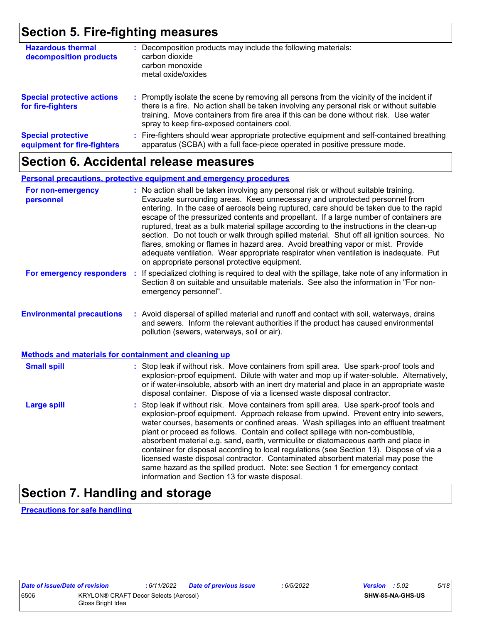## **Section 5. Fire-fighting measures**

| <b>Hazardous thermal</b><br>decomposition products       | : Decomposition products may include the following materials:<br>carbon dioxide<br>carbon monoxide<br>metal oxide/oxides                                                                                                                                                                                                      |
|----------------------------------------------------------|-------------------------------------------------------------------------------------------------------------------------------------------------------------------------------------------------------------------------------------------------------------------------------------------------------------------------------|
| <b>Special protective actions</b><br>for fire-fighters   | : Promptly isolate the scene by removing all persons from the vicinity of the incident if<br>there is a fire. No action shall be taken involving any personal risk or without suitable<br>training. Move containers from fire area if this can be done without risk. Use water<br>spray to keep fire-exposed containers cool. |
| <b>Special protective</b><br>equipment for fire-fighters | : Fire-fighters should wear appropriate protective equipment and self-contained breathing<br>apparatus (SCBA) with a full face-piece operated in positive pressure mode.                                                                                                                                                      |

### **Section 6. Accidental release measures**

#### **Personal precautions, protective equipment and emergency procedures**

| For non-emergency<br>personnel                               | : No action shall be taken involving any personal risk or without suitable training.<br>Evacuate surrounding areas. Keep unnecessary and unprotected personnel from<br>entering. In the case of aerosols being ruptured, care should be taken due to the rapid<br>escape of the pressurized contents and propellant. If a large number of containers are<br>ruptured, treat as a bulk material spillage according to the instructions in the clean-up<br>section. Do not touch or walk through spilled material. Shut off all ignition sources. No<br>flares, smoking or flames in hazard area. Avoid breathing vapor or mist. Provide<br>adequate ventilation. Wear appropriate respirator when ventilation is inadequate. Put<br>on appropriate personal protective equipment. |
|--------------------------------------------------------------|----------------------------------------------------------------------------------------------------------------------------------------------------------------------------------------------------------------------------------------------------------------------------------------------------------------------------------------------------------------------------------------------------------------------------------------------------------------------------------------------------------------------------------------------------------------------------------------------------------------------------------------------------------------------------------------------------------------------------------------------------------------------------------|
| For emergency responders                                     | : If specialized clothing is required to deal with the spillage, take note of any information in<br>Section 8 on suitable and unsuitable materials. See also the information in "For non-<br>emergency personnel".                                                                                                                                                                                                                                                                                                                                                                                                                                                                                                                                                               |
| <b>Environmental precautions</b>                             | : Avoid dispersal of spilled material and runoff and contact with soil, waterways, drains<br>and sewers. Inform the relevant authorities if the product has caused environmental<br>pollution (sewers, waterways, soil or air).                                                                                                                                                                                                                                                                                                                                                                                                                                                                                                                                                  |
| <b>Methods and materials for containment and cleaning up</b> |                                                                                                                                                                                                                                                                                                                                                                                                                                                                                                                                                                                                                                                                                                                                                                                  |
| <b>Small spill</b>                                           | : Stop leak if without risk. Move containers from spill area. Use spark-proof tools and<br>explosion-proof equipment. Dilute with water and mop up if water-soluble. Alternatively,<br>or if water-insoluble, absorb with an inert dry material and place in an appropriate waste<br>disposal container. Dispose of via a licensed waste disposal contractor.                                                                                                                                                                                                                                                                                                                                                                                                                    |
| <b>Large spill</b>                                           | : Stop leak if without risk. Move containers from spill area. Use spark-proof tools and<br>explosion-proof equipment. Approach release from upwind. Prevent entry into sewers,<br>water courses, basements or confined areas. Wash spillages into an effluent treatment<br>plant or proceed as follows. Contain and collect spillage with non-combustible,<br>absorbent material e.g. sand, earth, vermiculite or diatomaceous earth and place in<br>container for disposal according to local regulations (see Section 13). Dispose of via a<br>licensed waste disposal contractor. Contaminated absorbent material may pose the<br>same hazard as the spilled product. Note: see Section 1 for emergency contact<br>information and Section 13 for waste disposal.             |

# **Section 7. Handling and storage**

**Precautions for safe handling**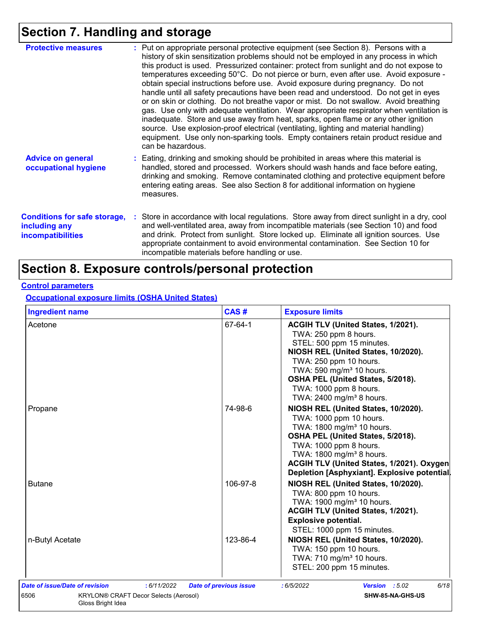# **Section 7. Handling and storage**

| <b>Protective measures</b>                                                       | : Put on appropriate personal protective equipment (see Section 8). Persons with a<br>history of skin sensitization problems should not be employed in any process in which<br>this product is used. Pressurized container: protect from sunlight and do not expose to<br>temperatures exceeding 50°C. Do not pierce or burn, even after use. Avoid exposure -<br>obtain special instructions before use. Avoid exposure during pregnancy. Do not<br>handle until all safety precautions have been read and understood. Do not get in eyes<br>or on skin or clothing. Do not breathe vapor or mist. Do not swallow. Avoid breathing<br>gas. Use only with adequate ventilation. Wear appropriate respirator when ventilation is<br>inadequate. Store and use away from heat, sparks, open flame or any other ignition<br>source. Use explosion-proof electrical (ventilating, lighting and material handling)<br>equipment. Use only non-sparking tools. Empty containers retain product residue and<br>can be hazardous. |
|----------------------------------------------------------------------------------|---------------------------------------------------------------------------------------------------------------------------------------------------------------------------------------------------------------------------------------------------------------------------------------------------------------------------------------------------------------------------------------------------------------------------------------------------------------------------------------------------------------------------------------------------------------------------------------------------------------------------------------------------------------------------------------------------------------------------------------------------------------------------------------------------------------------------------------------------------------------------------------------------------------------------------------------------------------------------------------------------------------------------|
| <b>Advice on general</b><br>occupational hygiene                                 | : Eating, drinking and smoking should be prohibited in areas where this material is<br>handled, stored and processed. Workers should wash hands and face before eating,<br>drinking and smoking. Remove contaminated clothing and protective equipment before<br>entering eating areas. See also Section 8 for additional information on hygiene<br>measures.                                                                                                                                                                                                                                                                                                                                                                                                                                                                                                                                                                                                                                                             |
| <b>Conditions for safe storage,</b><br>including any<br><b>incompatibilities</b> | : Store in accordance with local regulations. Store away from direct sunlight in a dry, cool<br>and well-ventilated area, away from incompatible materials (see Section 10) and food<br>and drink. Protect from sunlight. Store locked up. Eliminate all ignition sources. Use<br>appropriate containment to avoid environmental contamination. See Section 10 for<br>incompatible materials before handling or use.                                                                                                                                                                                                                                                                                                                                                                                                                                                                                                                                                                                                      |

## **Section 8. Exposure controls/personal protection**

#### **Control parameters**

**Occupational exposure limits (OSHA United States)**

| <b>Ingredient name</b>                | CAS#                                         | <b>Exposure limits</b>                                                                                                                                                                                                                                                                                      |
|---------------------------------------|----------------------------------------------|-------------------------------------------------------------------------------------------------------------------------------------------------------------------------------------------------------------------------------------------------------------------------------------------------------------|
| Acetone                               | 67-64-1                                      | ACGIH TLV (United States, 1/2021).<br>TWA: 250 ppm 8 hours.<br>STEL: 500 ppm 15 minutes.<br>NIOSH REL (United States, 10/2020).<br>TWA: 250 ppm 10 hours.<br>TWA: 590 mg/m <sup>3</sup> 10 hours.<br>OSHA PEL (United States, 5/2018).<br>TWA: 1000 ppm 8 hours.<br>TWA: 2400 mg/m <sup>3</sup> 8 hours.    |
| Propane                               | 74-98-6                                      | NIOSH REL (United States, 10/2020).<br>TWA: 1000 ppm 10 hours.<br>TWA: 1800 mg/m <sup>3</sup> 10 hours.<br>OSHA PEL (United States, 5/2018).<br>TWA: 1000 ppm 8 hours.<br>TWA: 1800 mg/m <sup>3</sup> 8 hours.<br>ACGIH TLV (United States, 1/2021). Oxygen<br>Depletion [Asphyxiant]. Explosive potential. |
| <b>Butane</b>                         | 106-97-8                                     | NIOSH REL (United States, 10/2020).<br>TWA: 800 ppm 10 hours.<br>TWA: 1900 mg/m <sup>3</sup> 10 hours.<br>ACGIH TLV (United States, 1/2021).<br><b>Explosive potential.</b><br>STEL: 1000 ppm 15 minutes.                                                                                                   |
| n-Butyl Acetate                       | 123-86-4                                     | NIOSH REL (United States, 10/2020).<br>TWA: 150 ppm 10 hours.<br>TWA: 710 mg/m <sup>3</sup> 10 hours.<br>STEL: 200 ppm 15 minutes.                                                                                                                                                                          |
| <b>Date of issue/Date of revision</b> | : 6/11/2022<br><b>Date of previous issue</b> | 6/18<br>:6/5/2022<br>Version : 5.02                                                                                                                                                                                                                                                                         |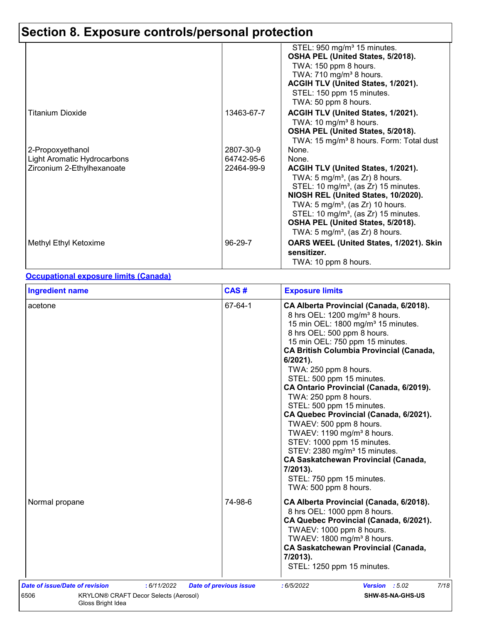|                             |            | STEL: 950 mg/m <sup>3</sup> 15 minutes.             |
|-----------------------------|------------|-----------------------------------------------------|
|                             |            | OSHA PEL (United States, 5/2018).                   |
|                             |            | TWA: 150 ppm 8 hours.                               |
|                             |            | TWA: $710 \text{ mg/m}^3$ 8 hours.                  |
|                             |            | ACGIH TLV (United States, 1/2021).                  |
|                             |            | STEL: 150 ppm 15 minutes.                           |
|                             |            | TWA: 50 ppm 8 hours.                                |
| <b>Titanium Dioxide</b>     | 13463-67-7 | ACGIH TLV (United States, 1/2021).                  |
|                             |            | TWA: 10 mg/m <sup>3</sup> 8 hours.                  |
|                             |            | OSHA PEL (United States, 5/2018).                   |
|                             |            | TWA: 15 mg/m <sup>3</sup> 8 hours. Form: Total dust |
| 2-Propoxyethanol            | 2807-30-9  | None.                                               |
| Light Aromatic Hydrocarbons | 64742-95-6 | None.                                               |
| Zirconium 2-Ethylhexanoate  | 22464-99-9 | ACGIH TLV (United States, 1/2021).                  |
|                             |            | TWA: $5 \text{ mg/m}^3$ , (as Zr) 8 hours.          |
|                             |            | STEL: 10 mg/m <sup>3</sup> , (as Zr) 15 minutes.    |
|                             |            | NIOSH REL (United States, 10/2020).                 |
|                             |            | TWA: $5 \text{ mg/m}^3$ , (as Zr) 10 hours.         |
|                             |            | STEL: 10 mg/m <sup>3</sup> , (as Zr) 15 minutes.    |
|                             |            | OSHA PEL (United States, 5/2018).                   |
|                             |            | TWA: 5 mg/m <sup>3</sup> , (as Zr) 8 hours.         |
| Methyl Ethyl Ketoxime       | 96-29-7    | OARS WEEL (United States, 1/2021). Skin             |
|                             |            | sensitizer.                                         |
|                             |            | TWA: 10 ppm 8 hours.                                |

#### **Occupational exposure limits (Canada)**

| <b>Ingredient name</b>                                                                        | CAS#                          | <b>Exposure limits</b>                                                                                                                                                                                                                                                                                                                                                                                                                                                                                                                                                                                                                                                                                                                  |
|-----------------------------------------------------------------------------------------------|-------------------------------|-----------------------------------------------------------------------------------------------------------------------------------------------------------------------------------------------------------------------------------------------------------------------------------------------------------------------------------------------------------------------------------------------------------------------------------------------------------------------------------------------------------------------------------------------------------------------------------------------------------------------------------------------------------------------------------------------------------------------------------------|
| acetone                                                                                       | 67-64-1                       | CA Alberta Provincial (Canada, 6/2018).<br>8 hrs OEL: 1200 mg/m <sup>3</sup> 8 hours.<br>15 min OEL: 1800 mg/m <sup>3</sup> 15 minutes.<br>8 hrs OEL: 500 ppm 8 hours.<br>15 min OEL: 750 ppm 15 minutes.<br><b>CA British Columbia Provincial (Canada,</b><br>6/2021).<br>TWA: 250 ppm 8 hours.<br>STEL: 500 ppm 15 minutes.<br>CA Ontario Provincial (Canada, 6/2019).<br>TWA: 250 ppm 8 hours.<br>STEL: 500 ppm 15 minutes.<br>CA Quebec Provincial (Canada, 6/2021).<br>TWAEV: 500 ppm 8 hours.<br>TWAEV: 1190 mg/m <sup>3</sup> 8 hours.<br>STEV: 1000 ppm 15 minutes.<br>STEV: 2380 mg/m <sup>3</sup> 15 minutes.<br><b>CA Saskatchewan Provincial (Canada,</b><br>7/2013).<br>STEL: 750 ppm 15 minutes.<br>TWA: 500 ppm 8 hours. |
| Normal propane                                                                                | 74-98-6                       | CA Alberta Provincial (Canada, 6/2018).<br>8 hrs OEL: 1000 ppm 8 hours.<br>CA Quebec Provincial (Canada, 6/2021).<br>TWAEV: 1000 ppm 8 hours.<br>TWAEV: 1800 mg/m <sup>3</sup> 8 hours.<br><b>CA Saskatchewan Provincial (Canada,</b><br>7/2013).<br>STEL: 1250 ppm 15 minutes.                                                                                                                                                                                                                                                                                                                                                                                                                                                         |
| Date of issue/Date of revision<br>:6/11/2022<br>6506<br>KRYLON® CRAFT Decor Selects (Aerosol) | <b>Date of previous issue</b> | 7/18<br>Version : 5.02<br>:6/5/2022<br>SHW-85-NA-GHS-US                                                                                                                                                                                                                                                                                                                                                                                                                                                                                                                                                                                                                                                                                 |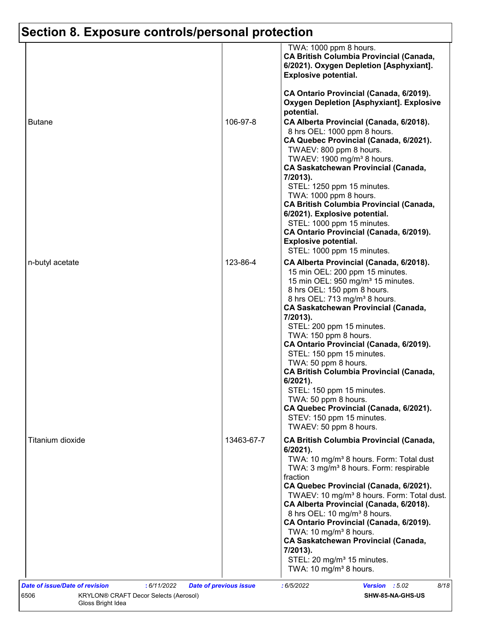|                  |            | TWA: 1000 ppm 8 hours.<br><b>CA British Columbia Provincial (Canada,</b><br>6/2021). Oxygen Depletion [Asphyxiant].<br><b>Explosive potential.</b>                                                                                                                                                                                                                                                                                                                                                                                                                                                                                             |
|------------------|------------|------------------------------------------------------------------------------------------------------------------------------------------------------------------------------------------------------------------------------------------------------------------------------------------------------------------------------------------------------------------------------------------------------------------------------------------------------------------------------------------------------------------------------------------------------------------------------------------------------------------------------------------------|
| <b>Butane</b>    | 106-97-8   | CA Ontario Provincial (Canada, 6/2019).<br><b>Oxygen Depletion [Asphyxiant]. Explosive</b><br>potential.<br>CA Alberta Provincial (Canada, 6/2018).<br>8 hrs OEL: 1000 ppm 8 hours.<br>CA Quebec Provincial (Canada, 6/2021).<br>TWAEV: 800 ppm 8 hours.<br>TWAEV: 1900 mg/m <sup>3</sup> 8 hours.<br><b>CA Saskatchewan Provincial (Canada,</b><br>7/2013).<br>STEL: 1250 ppm 15 minutes.<br>TWA: 1000 ppm 8 hours.<br><b>CA British Columbia Provincial (Canada,</b>                                                                                                                                                                         |
|                  |            | 6/2021). Explosive potential.<br>STEL: 1000 ppm 15 minutes.<br>CA Ontario Provincial (Canada, 6/2019).<br><b>Explosive potential.</b><br>STEL: 1000 ppm 15 minutes.                                                                                                                                                                                                                                                                                                                                                                                                                                                                            |
| n-butyl acetate  | 123-86-4   | CA Alberta Provincial (Canada, 6/2018).<br>15 min OEL: 200 ppm 15 minutes.<br>15 min OEL: 950 mg/m <sup>3</sup> 15 minutes.<br>8 hrs OEL: 150 ppm 8 hours.<br>8 hrs OEL: 713 mg/m <sup>3</sup> 8 hours.<br><b>CA Saskatchewan Provincial (Canada,</b><br>7/2013).<br>STEL: 200 ppm 15 minutes.<br>TWA: 150 ppm 8 hours.<br>CA Ontario Provincial (Canada, 6/2019).<br>STEL: 150 ppm 15 minutes.<br>TWA: 50 ppm 8 hours.<br><b>CA British Columbia Provincial (Canada,</b><br>$6/2021$ ).<br>STEL: 150 ppm 15 minutes.<br>TWA: 50 ppm 8 hours.<br>CA Quebec Provincial (Canada, 6/2021).<br>STEV: 150 ppm 15 minutes.<br>TWAEV: 50 ppm 8 hours. |
| Titanium dioxide | 13463-67-7 | <b>CA British Columbia Provincial (Canada,</b><br>6/2021).<br>TWA: 10 mg/m <sup>3</sup> 8 hours. Form: Total dust<br>TWA: 3 mg/m <sup>3</sup> 8 hours. Form: respirable<br>fraction<br>CA Quebec Provincial (Canada, 6/2021).<br>TWAEV: 10 mg/m <sup>3</sup> 8 hours. Form: Total dust.<br>CA Alberta Provincial (Canada, 6/2018).<br>8 hrs OEL: 10 mg/m <sup>3</sup> 8 hours.<br>CA Ontario Provincial (Canada, 6/2019).<br>TWA: 10 mg/m <sup>3</sup> 8 hours.<br><b>CA Saskatchewan Provincial (Canada,</b><br>7/2013).<br>STEL: 20 mg/m <sup>3</sup> 15 minutes.<br>TWA: 10 mg/m <sup>3</sup> 8 hours.                                      |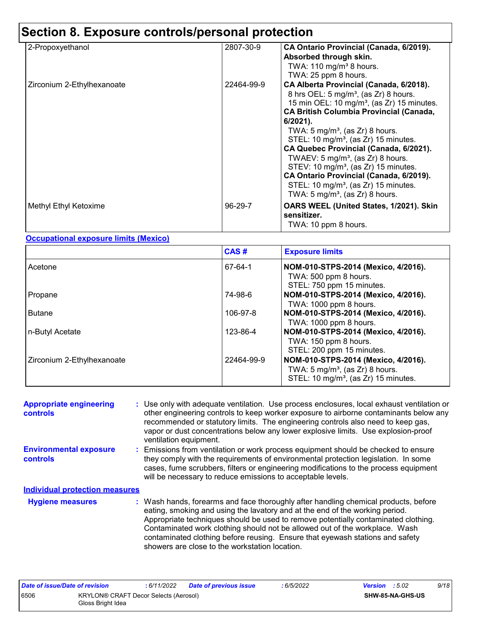| 2-Propoxyethanol           | 2807-30-9  | CA Ontario Provincial (Canada, 6/2019).<br>Absorbed through skin.<br>TWA: $110$ mg/m <sup>3</sup> 8 hours.<br>TWA: 25 ppm 8 hours.                                                                                                                                                                                                                                                                                                                                                                                                                                                                                      |
|----------------------------|------------|-------------------------------------------------------------------------------------------------------------------------------------------------------------------------------------------------------------------------------------------------------------------------------------------------------------------------------------------------------------------------------------------------------------------------------------------------------------------------------------------------------------------------------------------------------------------------------------------------------------------------|
| Zirconium 2-Ethylhexanoate | 22464-99-9 | CA Alberta Provincial (Canada, 6/2018).<br>8 hrs OEL: $5 \text{ mg/m}^3$ , (as Zr) 8 hours.<br>15 min OEL: 10 mg/m <sup>3</sup> , (as Zr) 15 minutes.<br><b>CA British Columbia Provincial (Canada,</b><br>$6/2021$ ).<br>TWA: 5 mg/m <sup>3</sup> , (as Zr) 8 hours.<br>STEL: 10 mg/m <sup>3</sup> , (as Zr) 15 minutes.<br>CA Quebec Provincial (Canada, 6/2021).<br>TWAEV: $5 \text{ mg/m}^3$ , (as Zr) 8 hours.<br>STEV: 10 mg/m <sup>3</sup> , (as Zr) 15 minutes.<br>CA Ontario Provincial (Canada, 6/2019).<br>STEL: 10 mg/m <sup>3</sup> , (as $Zr$ ) 15 minutes.<br>TWA: $5 \text{ mg/m}^3$ , (as Zr) 8 hours. |
| Methyl Ethyl Ketoxime      | 96-29-7    | OARS WEEL (United States, 1/2021). Skin<br>sensitizer.<br>TWA: 10 ppm 8 hours.                                                                                                                                                                                                                                                                                                                                                                                                                                                                                                                                          |

#### **Occupational exposure limits (Mexico)**

|                            | CAS#       | <b>Exposure limits</b>                                                                                                                |
|----------------------------|------------|---------------------------------------------------------------------------------------------------------------------------------------|
| Acetone                    | 67-64-1    | NOM-010-STPS-2014 (Mexico, 4/2016).<br>TWA: 500 ppm 8 hours.<br>STEL: 750 ppm 15 minutes.                                             |
| Propane                    | 74-98-6    | NOM-010-STPS-2014 (Mexico, 4/2016).<br>TWA: 1000 ppm 8 hours.                                                                         |
| Butane                     | 106-97-8   | NOM-010-STPS-2014 (Mexico, 4/2016).<br>TWA: 1000 ppm 8 hours.                                                                         |
| n-Butyl Acetate            | 123-86-4   | NOM-010-STPS-2014 (Mexico, 4/2016).<br>TWA: 150 ppm 8 hours.<br>STEL: 200 ppm 15 minutes.                                             |
| Zirconium 2-Ethylhexanoate | 22464-99-9 | NOM-010-STPS-2014 (Mexico, 4/2016).<br>TWA: $5 \text{ mg/m}^3$ , (as Zr) 8 hours.<br>STEL: 10 mg/m <sup>3</sup> , (as Zr) 15 minutes. |

| <b>Appropriate engineering</b><br><b>controls</b> | : Use only with adequate ventilation. Use process enclosures, local exhaust ventilation or<br>other engineering controls to keep worker exposure to airborne contaminants below any<br>recommended or statutory limits. The engineering controls also need to keep gas,<br>vapor or dust concentrations below any lower explosive limits. Use explosion-proof<br>ventilation equipment.                                                                                     |  |  |
|---------------------------------------------------|-----------------------------------------------------------------------------------------------------------------------------------------------------------------------------------------------------------------------------------------------------------------------------------------------------------------------------------------------------------------------------------------------------------------------------------------------------------------------------|--|--|
| <b>Environmental exposure</b><br>controls         | : Emissions from ventilation or work process equipment should be checked to ensure<br>they comply with the requirements of environmental protection legislation. In some<br>cases, fume scrubbers, filters or engineering modifications to the process equipment<br>will be necessary to reduce emissions to acceptable levels.                                                                                                                                             |  |  |
| <b>Individual protection measures</b>             |                                                                                                                                                                                                                                                                                                                                                                                                                                                                             |  |  |
| <b>Hygiene measures</b>                           | : Wash hands, forearms and face thoroughly after handling chemical products, before<br>eating, smoking and using the lavatory and at the end of the working period.<br>Appropriate techniques should be used to remove potentially contaminated clothing.<br>Contaminated work clothing should not be allowed out of the workplace. Wash<br>contaminated clothing before reusing. Ensure that eyewash stations and safety<br>showers are close to the workstation location. |  |  |

| Date of issue/Date of revision |                   | : 6/11/2022                           | <b>Date of previous issue</b> | : 6/5/2022 | <b>Version</b> : 5.02   | 9/18 |
|--------------------------------|-------------------|---------------------------------------|-------------------------------|------------|-------------------------|------|
| 6506                           | Gloss Bright Idea | KRYLON® CRAFT Decor Selects (Aerosol) |                               |            | <b>SHW-85-NA-GHS-US</b> |      |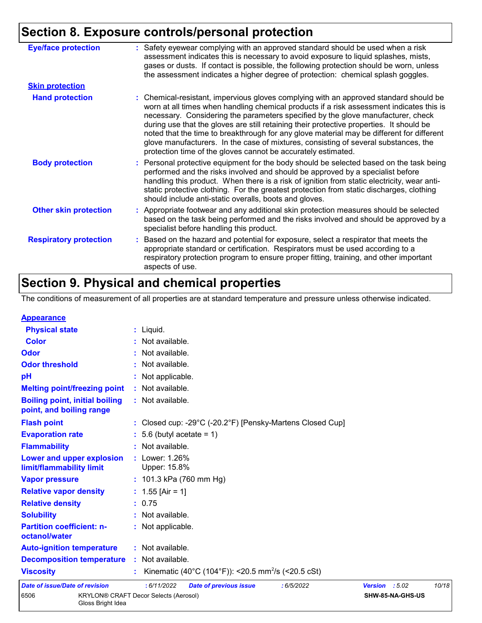| <b>Eye/face protection</b>    | : Safety eyewear complying with an approved standard should be used when a risk<br>assessment indicates this is necessary to avoid exposure to liquid splashes, mists,<br>gases or dusts. If contact is possible, the following protection should be worn, unless<br>the assessment indicates a higher degree of protection: chemical splash goggles.                                                                                                                                                                                                                                                                  |
|-------------------------------|------------------------------------------------------------------------------------------------------------------------------------------------------------------------------------------------------------------------------------------------------------------------------------------------------------------------------------------------------------------------------------------------------------------------------------------------------------------------------------------------------------------------------------------------------------------------------------------------------------------------|
| <b>Skin protection</b>        |                                                                                                                                                                                                                                                                                                                                                                                                                                                                                                                                                                                                                        |
| <b>Hand protection</b>        | : Chemical-resistant, impervious gloves complying with an approved standard should be<br>worn at all times when handling chemical products if a risk assessment indicates this is<br>necessary. Considering the parameters specified by the glove manufacturer, check<br>during use that the gloves are still retaining their protective properties. It should be<br>noted that the time to breakthrough for any glove material may be different for different<br>glove manufacturers. In the case of mixtures, consisting of several substances, the<br>protection time of the gloves cannot be accurately estimated. |
| <b>Body protection</b>        | : Personal protective equipment for the body should be selected based on the task being<br>performed and the risks involved and should be approved by a specialist before<br>handling this product. When there is a risk of ignition from static electricity, wear anti-<br>static protective clothing. For the greatest protection from static discharges, clothing<br>should include anti-static overalls, boots and gloves.                                                                                                                                                                                         |
| <b>Other skin protection</b>  | : Appropriate footwear and any additional skin protection measures should be selected<br>based on the task being performed and the risks involved and should be approved by a<br>specialist before handling this product.                                                                                                                                                                                                                                                                                                                                                                                              |
| <b>Respiratory protection</b> | : Based on the hazard and potential for exposure, select a respirator that meets the<br>appropriate standard or certification. Respirators must be used according to a<br>respiratory protection program to ensure proper fitting, training, and other important<br>aspects of use.                                                                                                                                                                                                                                                                                                                                    |

# **Section 9. Physical and chemical properties**

Gloss Bright Idea

The conditions of measurement of all properties are at standard temperature and pressure unless otherwise indicated.

| <b>Appearance</b>                                                 |                                                                |                |                  |       |
|-------------------------------------------------------------------|----------------------------------------------------------------|----------------|------------------|-------|
| <b>Physical state</b>                                             | $:$ Liquid.                                                    |                |                  |       |
| <b>Color</b>                                                      | : Not available.                                               |                |                  |       |
| Odor                                                              | : Not available.                                               |                |                  |       |
| <b>Odor threshold</b>                                             | : Not available.                                               |                |                  |       |
| pH                                                                | : Not applicable.                                              |                |                  |       |
| <b>Melting point/freezing point</b>                               | : Not available.                                               |                |                  |       |
| <b>Boiling point, initial boiling</b><br>point, and boiling range | : Not available.                                               |                |                  |       |
| <b>Flash point</b>                                                | : Closed cup: -29°C (-20.2°F) [Pensky-Martens Closed Cup]      |                |                  |       |
| <b>Evaporation rate</b>                                           | $: 5.6$ (butyl acetate = 1)                                    |                |                  |       |
| <b>Flammability</b>                                               | : Not available.                                               |                |                  |       |
| Lower and upper explosion<br>limit/flammability limit             | : Lower: 1.26%<br>Upper: 15.8%                                 |                |                  |       |
| <b>Vapor pressure</b>                                             | : $101.3$ kPa (760 mm Hg)                                      |                |                  |       |
| <b>Relative vapor density</b>                                     | : $1.55$ [Air = 1]                                             |                |                  |       |
| <b>Relative density</b>                                           | : 0.75                                                         |                |                  |       |
| <b>Solubility</b>                                                 | : Not available.                                               |                |                  |       |
| <b>Partition coefficient: n-</b><br>octanol/water                 | : Not applicable.                                              |                |                  |       |
| <b>Auto-ignition temperature</b>                                  | : Not available.                                               |                |                  |       |
| <b>Decomposition temperature</b>                                  | : Not available.                                               |                |                  |       |
| <b>Viscosity</b>                                                  | Kinematic (40°C (104°F)): <20.5 mm <sup>2</sup> /s (<20.5 cSt) |                |                  |       |
| <b>Date of issue/Date of revision</b>                             | : 6/11/2022<br><b>Date of previous issue</b><br>: 6/5/2022     | Version : 5.02 |                  | 10/18 |
| 6506                                                              | KRYLON® CRAFT Decor Selects (Aerosol)                          |                | SHW-85-NA-GHS-US |       |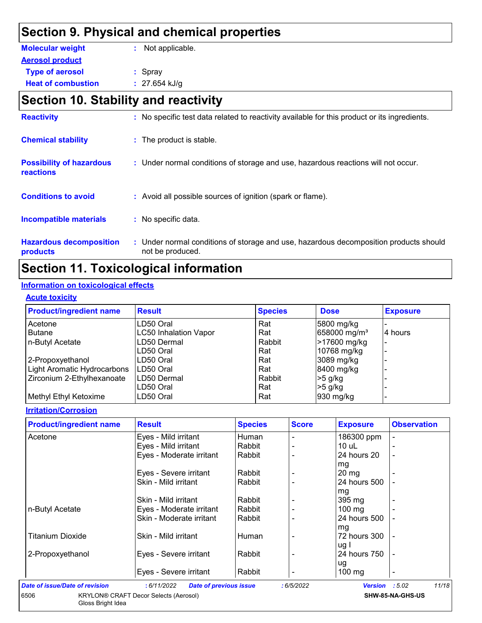## **Section 9. Physical and chemical properties**

| <b>Molecular weight</b>   | : Not applicable. |
|---------------------------|-------------------|
| <b>Aerosol product</b>    |                   |
| <b>Type of aerosol</b>    | $:$ Spray         |
| <b>Heat of combustion</b> | : $27.654$ kJ/g   |

# **Section 10. Stability and reactivity**

| <b>Reactivity</b>                                   | : No specific test data related to reactivity available for this product or its ingredients.              |
|-----------------------------------------------------|-----------------------------------------------------------------------------------------------------------|
| <b>Chemical stability</b>                           | : The product is stable.                                                                                  |
| <b>Possibility of hazardous</b><br><b>reactions</b> | : Under normal conditions of storage and use, hazardous reactions will not occur.                         |
| <b>Conditions to avoid</b>                          | : Avoid all possible sources of ignition (spark or flame).                                                |
| <b>Incompatible materials</b>                       | : No specific data.                                                                                       |
| <b>Hazardous decomposition</b><br>products          | : Under normal conditions of storage and use, hazardous decomposition products should<br>not be produced. |

## **Section 11. Toxicological information**

#### **Information on toxicological effects**

#### **Acute toxicity**

| <b>Product/ingredient name</b> | <b>Result</b>                | <b>Species</b> | <b>Dose</b>              | <b>Exposure</b> |
|--------------------------------|------------------------------|----------------|--------------------------|-----------------|
| Acetone                        | LD50 Oral                    | Rat            | 5800 mg/kg               |                 |
| Butane                         | <b>LC50 Inhalation Vapor</b> | Rat            | 658000 mg/m <sup>3</sup> | 4 hours         |
| n-Butyl Acetate                | LD50 Dermal                  | Rabbit         | >17600 mg/kg             |                 |
|                                | LD50 Oral                    | Rat            | 10768 mg/kg              |                 |
| 2-Propoxyethanol               | LD50 Oral                    | Rat            | 3089 mg/kg               |                 |
| Light Aromatic Hydrocarbons    | LD50 Oral                    | Rat            | 8400 mg/kg               |                 |
| Zirconium 2-Ethylhexanoate     | LD50 Dermal                  | Rabbit         | $>5$ g/kg                |                 |
|                                | LD50 Oral                    | Rat            | $>5$ g/kg                |                 |
| Methyl Ethyl Ketoxime          | LD50 Oral                    | Rat            | 930 mg/kg                |                 |

#### **Irritation/Corrosion**

| <b>Product/ingredient name</b> | <b>Result</b>            | <b>Species</b> | <b>Score</b> | <b>Exposure</b>  | <b>Observation</b>       |
|--------------------------------|--------------------------|----------------|--------------|------------------|--------------------------|
| Acetone                        | Eyes - Mild irritant     | Human          |              | 186300 ppm       |                          |
|                                | Eyes - Mild irritant     | Rabbit         |              | 10 uL            |                          |
|                                | Eyes - Moderate irritant | Rabbit         |              | 24 hours 20      | $\overline{\phantom{0}}$ |
|                                |                          |                |              | mg               |                          |
|                                | Eyes - Severe irritant   | Rabbit         |              | $20 \, mg$       |                          |
|                                | Skin - Mild irritant     | Rabbit         |              | 24 hours 500     |                          |
|                                |                          |                |              | mg               |                          |
|                                | Skin - Mild irritant     | Rabbit         |              | $395 \text{ mg}$ |                          |
| n-Butyl Acetate                | Eyes - Moderate irritant | Rabbit         |              | $100 \text{ mg}$ |                          |
|                                | Skin - Moderate irritant | Rabbit         |              | 24 hours 500     |                          |
|                                |                          |                |              | mg               |                          |
| <b>Titanium Dioxide</b>        | Skin - Mild irritant     | Human          |              | 72 hours 300     | $\blacksquare$           |
|                                |                          |                |              | ug I             |                          |
| 2-Propoxyethanol               | Eyes - Severe irritant   | Rabbit         |              | 24 hours 750     | $\overline{a}$           |
|                                |                          |                |              | ug               |                          |
|                                | Eyes - Severe irritant   | Rabbit         |              | $100$ mg         | -                        |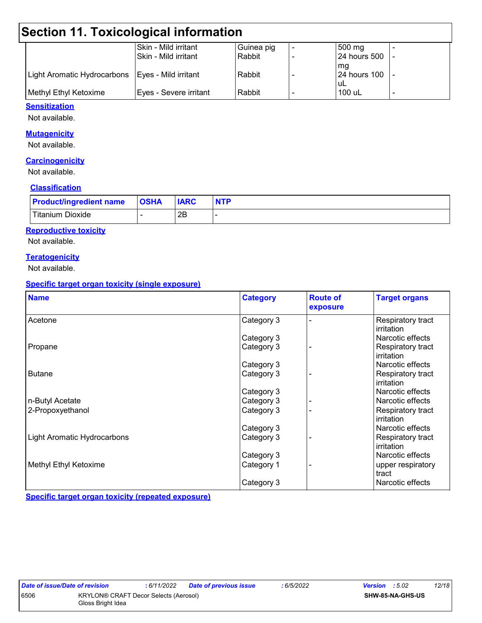# **Section 11. Toxicological information**

|                             | Skin - Mild irritant   | Guinea pig | 500 mg          |  |
|-----------------------------|------------------------|------------|-----------------|--|
|                             | Skin - Mild irritant   | Rabbit     | 24 hours 500  - |  |
|                             |                        |            | mq              |  |
| Light Aromatic Hydrocarbons | Eyes - Mild irritant   | Rabbit     | 24 hours 100  - |  |
|                             |                        |            | uL              |  |
| Methyl Ethyl Ketoxime       | Eyes - Severe irritant | Rabbit     | 100 uL          |  |
|                             |                        |            |                 |  |

#### **Sensitization**

Not available.

#### **Mutagenicity**

Not available.

#### **Carcinogenicity**

Not available.

#### **Classification**

| <b>Product/ingredient name</b> | <b>OSHA</b> | <b>IARC</b> | <b>NTP</b> |
|--------------------------------|-------------|-------------|------------|
| Titanium Dioxide               |             | 2B          |            |

#### **Reproductive toxicity**

Not available.

#### **Teratogenicity**

Not available.

#### **Specific target organ toxicity (single exposure)**

| <b>Name</b>                 | <b>Category</b> | <b>Route of</b><br>exposure | <b>Target organs</b>            |
|-----------------------------|-----------------|-----------------------------|---------------------------------|
| Acetone                     | Category 3      |                             | Respiratory tract<br>irritation |
|                             | Category 3      |                             | Narcotic effects                |
| Propane                     | Category 3      |                             | Respiratory tract<br>irritation |
|                             | Category 3      |                             | Narcotic effects                |
| <b>Butane</b>               | Category 3      |                             | Respiratory tract<br>irritation |
|                             | Category 3      |                             | Narcotic effects                |
| n-Butyl Acetate             | Category 3      |                             | Narcotic effects                |
| 2-Propoxyethanol            | Category 3      |                             | Respiratory tract<br>irritation |
|                             | Category 3      |                             | Narcotic effects                |
| Light Aromatic Hydrocarbons | Category 3      |                             | Respiratory tract<br>irritation |
|                             | Category 3      |                             | Narcotic effects                |
| Methyl Ethyl Ketoxime       | Category 1      |                             | upper respiratory<br>tract      |
|                             | Category 3      |                             | Narcotic effects                |

**Specific target organ toxicity (repeated exposure)**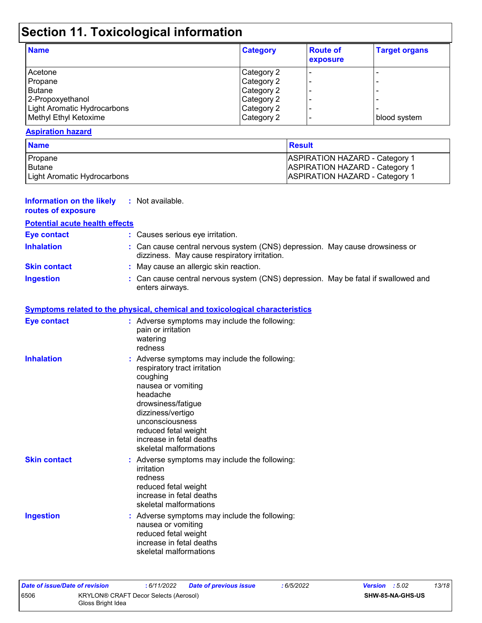# **Section 11. Toxicological information**

| <b>Name</b>                 | <b>Category</b> | <b>Route of</b><br>exposure | <b>Target organs</b> |
|-----------------------------|-----------------|-----------------------------|----------------------|
| Acetone                     | Category 2      | ۰                           |                      |
| Propane                     | Category 2      |                             |                      |
| Butane                      | Category 2      | $\overline{\phantom{0}}$    |                      |
| 2-Propoxyethanol            | Category 2      | $\overline{\phantom{0}}$    |                      |
| Light Aromatic Hydrocarbons | Category 2      | $\overline{\phantom{0}}$    |                      |
| Methyl Ethyl Ketoxime       | Category 2      | $\overline{\phantom{0}}$    | blood system         |

#### **Aspiration hazard**

| <b>Name</b>                 | <b>Result</b>                         |  |  |
|-----------------------------|---------------------------------------|--|--|
| Propane                     | <b>ASPIRATION HAZARD - Category 1</b> |  |  |
| <b>Butane</b>               | <b>ASPIRATION HAZARD - Category 1</b> |  |  |
| Light Aromatic Hydrocarbons | <b>ASPIRATION HAZARD - Category 1</b> |  |  |

| <b>Information on the likely</b><br>routes of exposure | : Not available.                                                                                                                                                                                                                                                        |
|--------------------------------------------------------|-------------------------------------------------------------------------------------------------------------------------------------------------------------------------------------------------------------------------------------------------------------------------|
| <b>Potential acute health effects</b>                  |                                                                                                                                                                                                                                                                         |
| <b>Eye contact</b>                                     | : Causes serious eye irritation.                                                                                                                                                                                                                                        |
| <b>Inhalation</b>                                      | Can cause central nervous system (CNS) depression. May cause drowsiness or<br>dizziness. May cause respiratory irritation.                                                                                                                                              |
| <b>Skin contact</b>                                    | : May cause an allergic skin reaction.                                                                                                                                                                                                                                  |
| <b>Ingestion</b>                                       | : Can cause central nervous system (CNS) depression. May be fatal if swallowed and<br>enters airways.                                                                                                                                                                   |
|                                                        | <b>Symptoms related to the physical, chemical and toxicological characteristics</b>                                                                                                                                                                                     |
| <b>Eye contact</b>                                     | : Adverse symptoms may include the following:<br>pain or irritation<br>watering<br>redness                                                                                                                                                                              |
| <b>Inhalation</b>                                      | : Adverse symptoms may include the following:<br>respiratory tract irritation<br>coughing<br>nausea or vomiting<br>headache<br>drowsiness/fatigue<br>dizziness/vertigo<br>unconsciousness<br>reduced fetal weight<br>increase in fetal deaths<br>skeletal malformations |
| <b>Skin contact</b>                                    | : Adverse symptoms may include the following:<br>irritation<br>redness<br>reduced fetal weight<br>increase in fetal deaths<br>skeletal malformations                                                                                                                    |
| <b>Ingestion</b>                                       | : Adverse symptoms may include the following:<br>nausea or vomiting<br>reduced fetal weight<br>increase in fetal deaths<br>skeletal malformations                                                                                                                       |

| Date of issue/Date of revision |                                                            | : 6/11/2022 | <b>Date of previous issue</b> | : 6/5/2022 | <b>Version</b> : 5.02 |  | 13/18 |
|--------------------------------|------------------------------------------------------------|-------------|-------------------------------|------------|-----------------------|--|-------|
| 6506                           | KRYLON® CRAFT Decor Selects (Aerosol)<br>Gloss Bright Idea |             |                               |            | SHW-85-NA-GHS-US      |  |       |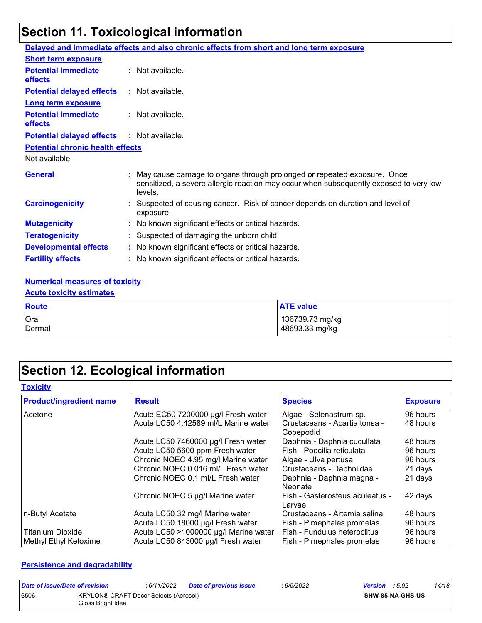# **Section 11. Toxicological information**

|                                              | Delayed and immediate effects and also chronic effects from short and long term exposure                                                                                       |
|----------------------------------------------|--------------------------------------------------------------------------------------------------------------------------------------------------------------------------------|
| <b>Short term exposure</b>                   |                                                                                                                                                                                |
| <b>Potential immediate</b><br>effects        | : Not available.                                                                                                                                                               |
| <b>Potential delayed effects</b>             | : Not available.                                                                                                                                                               |
| <b>Long term exposure</b>                    |                                                                                                                                                                                |
| <b>Potential immediate</b><br><b>effects</b> | : Not available.                                                                                                                                                               |
| <b>Potential delayed effects</b>             | : Not available.                                                                                                                                                               |
| <b>Potential chronic health effects</b>      |                                                                                                                                                                                |
| Not available.                               |                                                                                                                                                                                |
| <b>General</b>                               | : May cause damage to organs through prolonged or repeated exposure. Once<br>sensitized, a severe allergic reaction may occur when subsequently exposed to very low<br>levels. |
| <b>Carcinogenicity</b>                       | : Suspected of causing cancer. Risk of cancer depends on duration and level of<br>exposure.                                                                                    |
| <b>Mutagenicity</b>                          | : No known significant effects or critical hazards.                                                                                                                            |
| <b>Teratogenicity</b>                        | : Suspected of damaging the unborn child.                                                                                                                                      |
| <b>Developmental effects</b>                 | : No known significant effects or critical hazards.                                                                                                                            |
| <b>Fertility effects</b>                     | : No known significant effects or critical hazards.                                                                                                                            |

#### **Numerical measures of toxicity**

#### **Acute toxicity estimates**

| <b>Route</b> | <b>ATE value</b> |
|--------------|------------------|
| Oral         | 136739.73 mg/kg  |
| Dermal       | 48693.33 mg/kg   |

# **Section 12. Ecological information**

#### **Toxicity**

| <b>Product/ingredient name</b> | <b>Result</b>                         | <b>Species</b>                             | <b>Exposure</b> |
|--------------------------------|---------------------------------------|--------------------------------------------|-----------------|
| Acetone                        | Acute EC50 7200000 µg/l Fresh water   | Algae - Selenastrum sp.                    | 96 hours        |
|                                | Acute LC50 4.42589 ml/L Marine water  | Crustaceans - Acartia tonsa -<br>Copepodid | 48 hours        |
|                                | Acute LC50 7460000 µg/l Fresh water   | Daphnia - Daphnia cucullata                | 48 hours        |
|                                | Acute LC50 5600 ppm Fresh water       | Fish - Poecilia reticulata                 | 96 hours        |
|                                | Chronic NOEC 4.95 mg/l Marine water   | Algae - Ulva pertusa                       | 96 hours        |
|                                | Chronic NOEC 0.016 ml/L Fresh water   | Crustaceans - Daphniidae                   | 21 days         |
|                                | Chronic NOEC 0.1 ml/L Fresh water     | Daphnia - Daphnia magna -<br>Neonate       | 21 days         |
|                                | Chronic NOEC 5 µg/l Marine water      | Fish - Gasterosteus aculeatus -<br>Larvae  | 42 days         |
| n-Butyl Acetate                | Acute LC50 32 mg/l Marine water       | Crustaceans - Artemia salina               | 48 hours        |
|                                | Acute LC50 18000 µg/l Fresh water     | Fish - Pimephales promelas                 | 96 hours        |
| <b>Titanium Dioxide</b>        | Acute LC50 >1000000 µg/l Marine water | Fish - Fundulus heteroclitus               | 96 hours        |
| Methyl Ethyl Ketoxime          | Acute LC50 843000 µg/l Fresh water    | Fish - Pimephales promelas                 | 96 hours        |

#### **Persistence and degradability**

| Date of issue/Date of revision |                                                            | : 6/11/2022 | <b>Date of previous issue</b> | : 6/5/2022 | <b>Version</b> : $5.02$ |                  | 14/18 |
|--------------------------------|------------------------------------------------------------|-------------|-------------------------------|------------|-------------------------|------------------|-------|
| 6506                           | KRYLON® CRAFT Decor Selects (Aerosol)<br>Gloss Bright Idea |             |                               |            |                         | SHW-85-NA-GHS-US |       |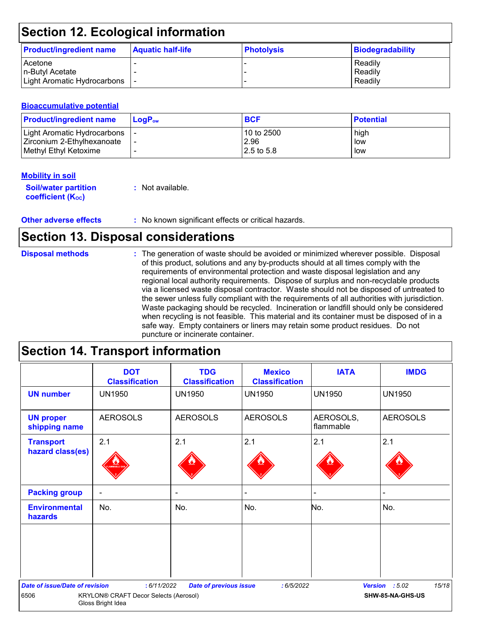# **Section 12. Ecological information**

| <b>Product/ingredient name</b> | <b>Aquatic half-life</b> | <b>Photolysis</b> | Biodegradability |
|--------------------------------|--------------------------|-------------------|------------------|
| <b>Acetone</b>                 |                          |                   | Readily          |
| n-Butyl Acetate                |                          |                   | Readily          |
| Light Aromatic Hydrocarbons    |                          |                   | Readily          |

#### **Bioaccumulative potential**

| <b>Product/ingredient name</b> | $LoaPow$ | <b>BCF</b> | <b>Potential</b> |
|--------------------------------|----------|------------|------------------|
| Light Aromatic Hydrocarbons    |          | 10 to 2500 | high             |
| Zirconium 2-Ethylhexanoate     |          | 2.96       | low              |
| <b>I</b> Methyl Ethyl Ketoxime |          | 2.5 to 5.8 | low              |

#### **Mobility in soil**

| <b>Soil/water partition</b> | : Not available. |
|-----------------------------|------------------|
| <b>coefficient (Koc)</b>    |                  |

**Other adverse effects** : No known significant effects or critical hazards.

## **Section 13. Disposal considerations**

| <b>Disposal methods</b> | : The generation of waste should be avoided or minimized wherever possible. Disposal<br>of this product, solutions and any by-products should at all times comply with the<br>requirements of environmental protection and waste disposal legislation and any<br>regional local authority requirements. Dispose of surplus and non-recyclable products<br>via a licensed waste disposal contractor. Waste should not be disposed of untreated to<br>the sewer unless fully compliant with the requirements of all authorities with jurisdiction.<br>Waste packaging should be recycled. Incineration or landfill should only be considered<br>when recycling is not feasible. This material and its container must be disposed of in a<br>safe way. Empty containers or liners may retain some product residues. Do not |
|-------------------------|-------------------------------------------------------------------------------------------------------------------------------------------------------------------------------------------------------------------------------------------------------------------------------------------------------------------------------------------------------------------------------------------------------------------------------------------------------------------------------------------------------------------------------------------------------------------------------------------------------------------------------------------------------------------------------------------------------------------------------------------------------------------------------------------------------------------------|
|                         | puncture or incinerate container.                                                                                                                                                                                                                                                                                                                                                                                                                                                                                                                                                                                                                                                                                                                                                                                       |

## **Section 14. Transport information**

|                                       | <b>DOT</b><br><b>Classification</b>                        | <b>TDG</b><br><b>Classification</b> | <b>Mexico</b><br><b>Classification</b> | <b>IATA</b>            | <b>IMDG</b>             |
|---------------------------------------|------------------------------------------------------------|-------------------------------------|----------------------------------------|------------------------|-------------------------|
| <b>UN number</b>                      | <b>UN1950</b>                                              | <b>UN1950</b>                       | <b>UN1950</b>                          | <b>UN1950</b>          | <b>UN1950</b>           |
| <b>UN proper</b><br>shipping name     | <b>AEROSOLS</b>                                            | <b>AEROSOLS</b>                     | <b>AEROSOLS</b>                        | AEROSOLS,<br>flammable | <b>AEROSOLS</b>         |
| <b>Transport</b><br>hazard class(es)  | 2.1                                                        | 2.1                                 | 2.1                                    | 2.1                    | 2.1                     |
| <b>Packing group</b>                  | $\overline{\phantom{a}}$                                   | $\blacksquare$                      |                                        | -                      |                         |
| <b>Environmental</b><br>hazards       | No.                                                        | No.                                 | No.                                    | No.                    | No.                     |
|                                       |                                                            |                                     |                                        |                        |                         |
| <b>Date of issue/Date of revision</b> | : 6/11/2022                                                | <b>Date of previous issue</b>       | :6/5/2022                              |                        | 15/18<br>Version : 5.02 |
| 6506                                  | KRYLON® CRAFT Decor Selects (Aerosol)<br>Gloss Bright Idea |                                     |                                        |                        | SHW-85-NA-GHS-US        |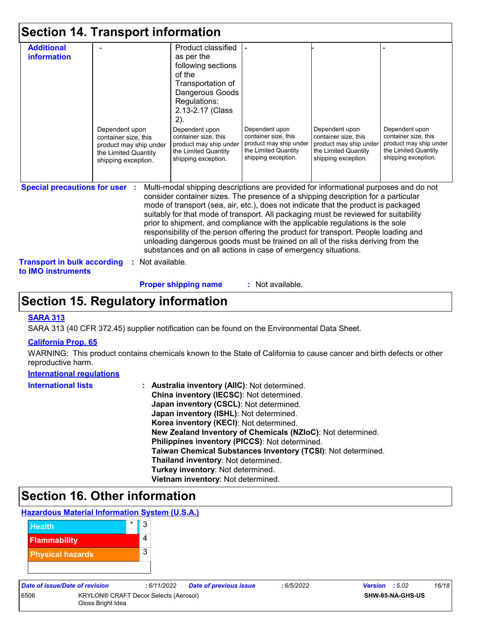|                                                                                                          | <b>Section 14. Transport information</b>                                                                        |                                                                                                                                                                                                                                                                                                                                                                                                                                                                                                                                                                                                                                                                                     |                                                                                                                 |                                                                                                                 |                                                                                                                 |
|----------------------------------------------------------------------------------------------------------|-----------------------------------------------------------------------------------------------------------------|-------------------------------------------------------------------------------------------------------------------------------------------------------------------------------------------------------------------------------------------------------------------------------------------------------------------------------------------------------------------------------------------------------------------------------------------------------------------------------------------------------------------------------------------------------------------------------------------------------------------------------------------------------------------------------------|-----------------------------------------------------------------------------------------------------------------|-----------------------------------------------------------------------------------------------------------------|-----------------------------------------------------------------------------------------------------------------|
| <b>Additional</b><br>information                                                                         | Dependent upon<br>container size, this<br>product may ship under<br>the Limited Quantity<br>shipping exception. | Product classified<br>as per the<br>following sections<br>of the<br>Transportation of<br>Dangerous Goods<br>Regulations:<br>2.13-2.17 (Class<br>$2)$ .<br>Dependent upon<br>container size, this<br>product may ship under<br>the Limited Quantity<br>shipping exception.                                                                                                                                                                                                                                                                                                                                                                                                           | Dependent upon<br>container size, this<br>product may ship under<br>the Limited Quantity<br>shipping exception. | Dependent upon<br>container size, this<br>product may ship under<br>the Limited Quantity<br>shipping exception. | Dependent upon<br>container size, this<br>product may ship under<br>the Limited Quantity<br>shipping exception. |
| <b>Special precautions for user :</b><br><b>Transport in bulk according</b><br>to <b>IMO</b> instruments | Not available.<br>÷.                                                                                            | Multi-modal shipping descriptions are provided for informational purposes and do not<br>consider container sizes. The presence of a shipping description for a particular<br>mode of transport (sea, air, etc.), does not indicate that the product is packaged<br>suitably for that mode of transport. All packaging must be reviewed for suitability<br>prior to shipment, and compliance with the applicable regulations is the sole<br>responsibility of the person offering the product for transport. People loading and<br>unloading dangerous goods must be trained on all of the risks deriving from the<br>substances and on all actions in case of emergency situations. |                                                                                                                 |                                                                                                                 |                                                                                                                 |

**Proper shipping name :**

: Not available.

## **Section 15. Regulatory information**

#### **SARA 313**

SARA 313 (40 CFR 372.45) supplier notification can be found on the Environmental Data Sheet.

#### **California Prop. 65**

WARNING: This product contains chemicals known to the State of California to cause cancer and birth defects or other reproductive harm.

#### **International regulations**

| <b>International lists</b> | : Australia inventory (AIIC): Not determined.                |
|----------------------------|--------------------------------------------------------------|
|                            | China inventory (IECSC): Not determined.                     |
|                            | Japan inventory (CSCL): Not determined.                      |
|                            | Japan inventory (ISHL): Not determined.                      |
|                            | Korea inventory (KECI): Not determined.                      |
|                            | New Zealand Inventory of Chemicals (NZIoC): Not determined.  |
|                            | Philippines inventory (PICCS): Not determined.               |
|                            | Taiwan Chemical Substances Inventory (TCSI): Not determined. |
|                            | Thailand inventory: Not determined.                          |
|                            | Turkey inventory: Not determined.                            |
|                            | Vietnam inventory: Not determined.                           |

### **Section 16. Other information**

#### **Hazardous Material Information System (U.S.A.)**

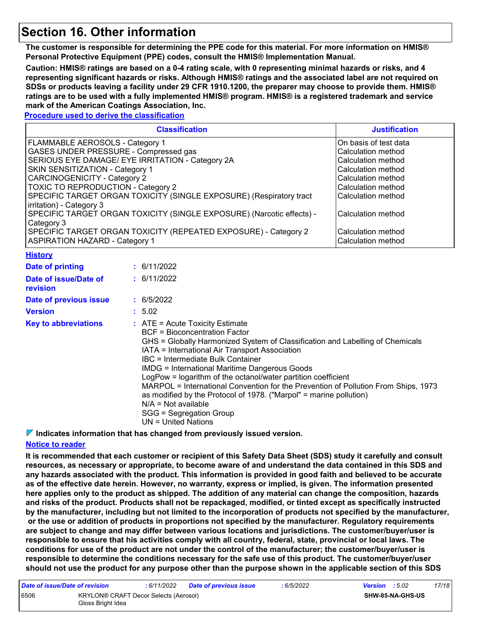### **Section 16. Other information**

**The customer is responsible for determining the PPE code for this material. For more information on HMIS® Personal Protective Equipment (PPE) codes, consult the HMIS® Implementation Manual.**

**Caution: HMIS® ratings are based on a 0-4 rating scale, with 0 representing minimal hazards or risks, and 4 representing significant hazards or risks. Although HMIS® ratings and the associated label are not required on SDSs or products leaving a facility under 29 CFR 1910.1200, the preparer may choose to provide them. HMIS® ratings are to be used with a fully implemented HMIS® program. HMIS® is a registered trademark and service mark of the American Coatings Association, Inc.**

#### **Procedure used to derive the classification**

|                                                                       | <b>Justification</b>                                                                                                                                                                                                                                                                                                                                                                                                                                                             |  |  |  |  |  |
|-----------------------------------------------------------------------|----------------------------------------------------------------------------------------------------------------------------------------------------------------------------------------------------------------------------------------------------------------------------------------------------------------------------------------------------------------------------------------------------------------------------------------------------------------------------------|--|--|--|--|--|
| FLAMMABLE AEROSOLS - Category 1                                       | On basis of test data                                                                                                                                                                                                                                                                                                                                                                                                                                                            |  |  |  |  |  |
| GASES UNDER PRESSURE - Compressed gas                                 | Calculation method                                                                                                                                                                                                                                                                                                                                                                                                                                                               |  |  |  |  |  |
| SERIOUS EYE DAMAGE/ EYE IRRITATION - Category 2A                      | Calculation method                                                                                                                                                                                                                                                                                                                                                                                                                                                               |  |  |  |  |  |
| SKIN SENSITIZATION - Category 1                                       | <b>Calculation method</b>                                                                                                                                                                                                                                                                                                                                                                                                                                                        |  |  |  |  |  |
| <b>CARCINOGENICITY - Category 2</b>                                   | Calculation method                                                                                                                                                                                                                                                                                                                                                                                                                                                               |  |  |  |  |  |
| TOXIC TO REPRODUCTION - Category 2                                    | Calculation method                                                                                                                                                                                                                                                                                                                                                                                                                                                               |  |  |  |  |  |
| SPECIFIC TARGET ORGAN TOXICITY (SINGLE EXPOSURE) (Respiratory tract   | Calculation method                                                                                                                                                                                                                                                                                                                                                                                                                                                               |  |  |  |  |  |
| irritation) - Category 3                                              |                                                                                                                                                                                                                                                                                                                                                                                                                                                                                  |  |  |  |  |  |
| SPECIFIC TARGET ORGAN TOXICITY (SINGLE EXPOSURE) (Narcotic effects) - | Calculation method                                                                                                                                                                                                                                                                                                                                                                                                                                                               |  |  |  |  |  |
| Category 3                                                            |                                                                                                                                                                                                                                                                                                                                                                                                                                                                                  |  |  |  |  |  |
| SPECIFIC TARGET ORGAN TOXICITY (REPEATED EXPOSURE) - Category 2       | Calculation method                                                                                                                                                                                                                                                                                                                                                                                                                                                               |  |  |  |  |  |
| <b>ASPIRATION HAZARD - Category 1</b>                                 | Calculation method                                                                                                                                                                                                                                                                                                                                                                                                                                                               |  |  |  |  |  |
| <b>History</b>                                                        |                                                                                                                                                                                                                                                                                                                                                                                                                                                                                  |  |  |  |  |  |
| <b>Date of printing</b>                                               | : 6/11/2022                                                                                                                                                                                                                                                                                                                                                                                                                                                                      |  |  |  |  |  |
| Date of issue/Date of                                                 | : 6/11/2022                                                                                                                                                                                                                                                                                                                                                                                                                                                                      |  |  |  |  |  |
| revision                                                              |                                                                                                                                                                                                                                                                                                                                                                                                                                                                                  |  |  |  |  |  |
| Date of previous issue                                                | : 6/5/2022                                                                                                                                                                                                                                                                                                                                                                                                                                                                       |  |  |  |  |  |
| <b>Version</b>                                                        | : 5.02                                                                                                                                                                                                                                                                                                                                                                                                                                                                           |  |  |  |  |  |
| <b>Key to abbreviations</b>                                           | : ATE = Acute Toxicity Estimate<br><b>BCF</b> = Bioconcentration Factor<br>GHS = Globally Harmonized System of Classification and Labelling of Chemicals<br>IATA = International Air Transport Association<br>IBC = Intermediate Bulk Container<br><b>IMDG = International Maritime Dangerous Goods</b><br>LogPow = logarithm of the octanol/water partition coefficient<br>MARPOL = International Convention for the Prevention of Pollution From Ships, 1973<br>$\blacksquare$ |  |  |  |  |  |

as modified by the Protocol of 1978. ("Marpol" = marine pollution)

N/A = Not available SGG = Segregation Group

UN = United Nations

**Indicates information that has changed from previously issued version.**

#### **Notice to reader**

**It is recommended that each customer or recipient of this Safety Data Sheet (SDS) study it carefully and consult resources, as necessary or appropriate, to become aware of and understand the data contained in this SDS and any hazards associated with the product. This information is provided in good faith and believed to be accurate as of the effective date herein. However, no warranty, express or implied, is given. The information presented here applies only to the product as shipped. The addition of any material can change the composition, hazards and risks of the product. Products shall not be repackaged, modified, or tinted except as specifically instructed by the manufacturer, including but not limited to the incorporation of products not specified by the manufacturer, or the use or addition of products in proportions not specified by the manufacturer. Regulatory requirements are subject to change and may differ between various locations and jurisdictions. The customer/buyer/user is responsible to ensure that his activities comply with all country, federal, state, provincial or local laws. The conditions for use of the product are not under the control of the manufacturer; the customer/buyer/user is responsible to determine the conditions necessary for the safe use of this product. The customer/buyer/user should not use the product for any purpose other than the purpose shown in the applicable section of this SDS** 

| Date of issue/Date of revision |                                                            | : 6/11/2022 | <b>Date of previous issue</b> | : 6/5/2022 | <b>Version</b> : $5.02$ |                         | 17/18 |
|--------------------------------|------------------------------------------------------------|-------------|-------------------------------|------------|-------------------------|-------------------------|-------|
| 6506                           | KRYLON® CRAFT Decor Selects (Aerosol)<br>Gloss Bright Idea |             |                               |            |                         | <b>SHW-85-NA-GHS-US</b> |       |